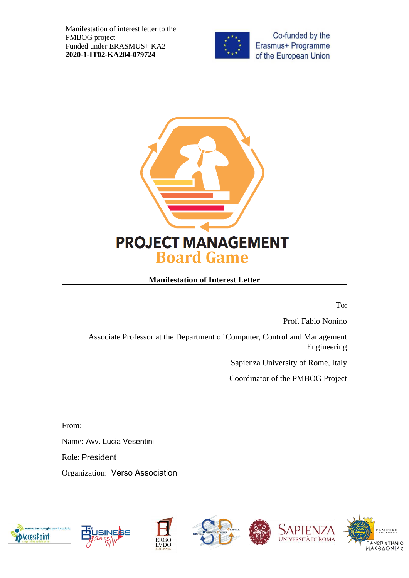Manifestation of interest letter to the PMBOG project Funded under ERASMUS+ KA2 **2020-1-IT02-KA204-079724**



Co-funded by the Erasmus+ Programme of the European Union



## **Manifestation of Interest Letter**

To:

Prof. Fabio Nonino

Associate Professor at the Department of Computer, Control and Management Engineering

Sapienza University of Rome, Italy

Coordinator of the PMBOG Project

From:

Name: Avv. Lucia Vesentini

Role: President

Organization: Verso Association

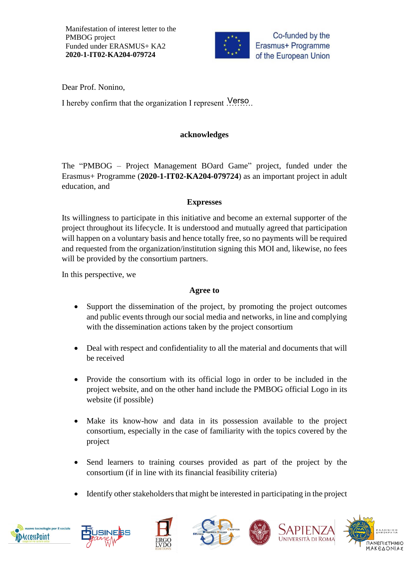Manifestation of interest letter to the PMBOG project Funded under ERASMUS+ KA2 **2020-1-IT02-KA204-079724**



Dear Prof. Nonino,

I hereby confirm that the organization I represent ........

### **acknowledges**

The "PMBOG – Project Management BOard Game" project, funded under the Erasmus+ Programme (**2020-1-IT02-KA204-079724**) as an important project in adult education, and

#### **Expresses**

Its willingness to participate in this initiative and become an external supporter of the project throughout its lifecycle. It is understood and mutually agreed that participation will happen on a voluntary basis and hence totally free, so no payments will be required and requested from the organization/institution signing this MOI and, likewise, no fees will be provided by the consortium partners.

In this perspective, we

#### **Agree to**

- Support the dissemination of the project, by promoting the project outcomes and public events through our social media and networks, in line and complying with the dissemination actions taken by the project consortium
- Deal with respect and confidentiality to all the material and documents that will be received
- Provide the consortium with its official logo in order to be included in the project website, and on the other hand include the PMBOG official Logo in its website (if possible)
- Make its know-how and data in its possession available to the project consortium, especially in the case of familiarity with the topics covered by the project
- Send learners to training courses provided as part of the project by the consortium (if in line with its financial feasibility criteria)
- Identify other stakeholders that might be interested in participating in the project